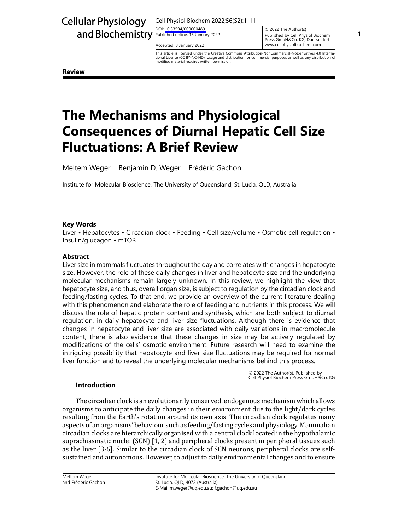# Cellular Physiology

Cell Physiol Biochem 2022;56(S2):1-11

DOI: [10.33594/00000048](https://doi.org/10.33594/000000489)9 DOI: 10.33594/000000489

Accepted: 3 January 2022

and Biochemistry Published online: 15 January 2022<br>Published online: 15 January 2022<br>Press CmbH&Co KG Duesseldorf © 2022 The Author(s) Published by Cell Physiol Biochem<br>Press GmbH&Co. KG, Duesseldorf www.cellphysiolbiochem.com

> This article is licensed under the Creative Commons Attribution-NonCommercial-NoDerivatives 4.0 International License (CC BY-NC-ND). Usage and distribution for commercial purposes as well as any distribution of modified material requires written permission.

**Review**

## **The Mechanisms and Physiological Consequences of Diurnal Hepatic Cell Size Fluctuations: A Brief Review**

Meltem Weger Benjamin D. Weger Frédéric Gachon

Institute for Molecular Bioscience, The University of Queensland, St. Lucia, QLD, Australia

## **Key Words**

Liver • Hepatocytes • Circadian clock • Feeding • Cell size/volume • Osmotic cell regulation • Insulin/glucagon • mTOR

## **Abstract**

Liver size in mammals fluctuates throughout the day and correlates with changes in hepatocyte size. However, the role of these daily changes in liver and hepatocyte size and the underlying molecular mechanisms remain largely unknown. In this review, we highlight the view that hepatocyte size, and thus, overall organ size, is subject to regulation by the circadian clock and feeding/fasting cycles. To that end, we provide an overview of the current literature dealing with this phenomenon and elaborate the role of feeding and nutrients in this process. We will discuss the role of hepatic protein content and synthesis, which are both subject to diurnal regulation, in daily hepatocyte and liver size fluctuations. Although there is evidence that changes in hepatocyte and liver size are associated with daily variations in macromolecule content, there is also evidence that these changes in size may be actively regulated by modifications of the cells' osmotic environment. Future research will need to examine the intriguing possibility that hepatocyte and liver size fluctuations may be required for normal liver function and to reveal the underlying molecular mechanisms behind this process.

© 2022 The Author(s). Published by Cell Physiol Biochem Press GmbH&Co. KG

#### **Introduction**

The circadian clock is an evolutionarily conserved, endogenous mechanism which allows organisms to anticipate the daily changes in their environment due to the light/dark cycles resulting from the Earth's rotation around its own axis. The circadian clock regulates many aspects of an organisms' behaviour such as feeding/fasting cycles and physiology. Mammalian circadian clocks are hierarchically organised with a central clock located in the hypothalamic suprachiasmatic nuclei (SCN) [1, 2] and peripheral clocks present in peripheral tissues such as the liver [3-6]. Similar to the circadian clock of SCN neurons, peripheral clocks are selfsustained and autonomous. However, to adjust to daily environmental changes and to ensure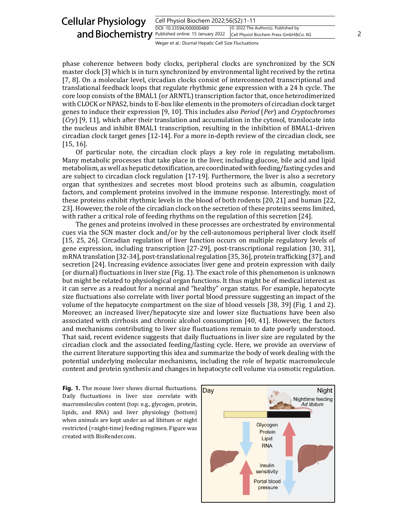| <b>Cellular Physiology</b>                                | Cell Physiol Biochem 2022;56(S2):1-11                |                                                                              |  |  |
|-----------------------------------------------------------|------------------------------------------------------|------------------------------------------------------------------------------|--|--|
| and Biochemistry <b>Published online: 15 January 2022</b> | DOI: 10.33594/000000489                              | © 2022 The Author(s). Published by<br>Cell Physiol Biochem Press GmbH&Co. KG |  |  |
|                                                           | Weger et al.: Diurnal Hepatic Cell Size Fluctuations |                                                                              |  |  |

phase coherence between body clocks, peripheral clocks are synchronized by the SCN master clock [3] which is in turn synchronized by environmental light received by the retina [7, 8]. On a molecular level, circadian clocks consist of interconnected transcriptional and translational feedback loops that regulate rhythmic gene expression with a 24 h cycle. The core loop consists of the BMAL1 (or ARNTL) transcription factor that, once heterodimerized with CLOCK or NPAS2, binds to E-box like elements in the promoters of circadian clock target genes to induce their expression [9, 10]. This includes also *Period* (*Per*) and *Cryptochromes* (*Cry*) [9, 11], which after their translation and accumulation in the cytosol, translocate into the nucleus and inhibit BMAL1 transcription, resulting in the inhibition of BMAL1-driven circadian clock target genes [12-14]. For a more in-depth review of the circadian clock, see [15, 16].

Of particular note, the circadian clock plays a key role in regulating metabolism. Many metabolic processes that take place in the liver, including glucose, bile acid and lipid metabolism, as well as hepatic detoxification, are coordinated with feeding/fasting cycles and are subject to circadian clock regulation [17-19]. Furthermore, the liver is also a secretory organ that synthesizes and secretes most blood proteins such as albumin, coagulation factors, and complement proteins involved in the immune response. Interestingly, most of these proteins exhibit rhythmic levels in the blood of both rodents [20, 21] and human [22, 23]. However, the role of the circadian clock on the secretion of these proteins seems limited, with rather a critical role of feeding rhythms on the regulation of this secretion [24].

The genes and proteins involved in these processes are orchestrated by environmental cues via the SCN master clock and/or by the cell-autonomous peripheral liver clock itself [15, 25, 26]. Circadian regulation of liver function occurs on multiple regulatory levels of gene expression, including transcription [27-29], post-transcriptional regulation [30, 31], mRNA translation [32-34], post-translational regulation [35, 36], protein trafficking [37], and secretion [24]. Increasing evidence associates liver gene and protein expression with daily (or diurnal) fluctuations in liver size (Fig. 1). The exact role of this phenomenon is unknown but might be related to physiological organ functions. It thus might be of medical interest as it can serve as a readout for a normal and "healthy" organ status. For example, hepatocyte size fluctuations also correlate with liver portal blood pressure suggesting an impact of the volume of the hepatocyte compartment on the size of blood vessels [38, 39] (Fig. 1 and 2). Moreover, an increased liver/hepatocyte size and lower size fluctuations have been also associated with cirrhosis and chronic alcohol consumption [40, 41]. However, the factors and mechanisms contributing to liver size fluctuations remain to date poorly understood. That said, recent evidence suggests that daily fluctuations in liver size are regulated by the circadian clock and the associated feeding/fasting cycle. Here, we provide an overview of the current literature supporting this idea and summarize the body of work dealing with the potential underlying molecular mechanisms, including the role of hepatic macromolecule content and protein synthesis and changes in hepatocyte cell volume via osmotic regulation.

Fig. 1. The mouse liver shows diurnal fluctuations. Daily fluctuations in liver size correlate with macromolecules content (top: e.g., glycogen, protein, lipids, and RNA) and liver physiology (bottom) when animals are kept under an ad libitum or night restricted (=night-time) feeding regimen. Figure was created with BioRender.com.

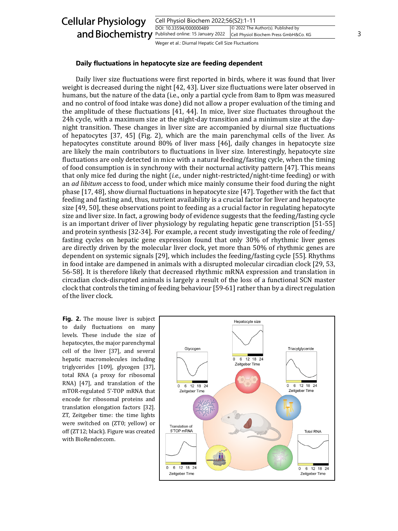

## **Daily fluctuations in hepatocyte size are feeding dependent**

Daily liver size fluctuations were first reported in birds, where it was found that liver weight is decreased during the night [42, 43]. Liver size fluctuations were later observed in humans, but the nature of the data (i.e., only a partial cycle from 8am to 8pm was measured and no control of food intake was done) did not allow a proper evaluation of the timing and the amplitude of these fluctuations [41, 44]. In mice, liver size fluctuates throughout the 24h cycle, with a maximum size at the night-day transition and a minimum size at the daynight transition. These changes in liver size are accompanied by diurnal size fluctuations of hepatocytes [37, 45] (Fig. 2), which are the main parenchymal cells of the liver. As hepatocytes constitute around 80% of liver mass [46], daily changes in hepatocyte size are likely the main contributors to fluctuations in liver size. Interestingly, hepatocyte size fluctuations are only detected in mice with a natural feeding/fasting cycle, when the timing of food consumption is in synchrony with their nocturnal activity pattern [47]. This means that only mice fed during the night (*i.e.,* under night-restricted/night-time feeding) or with an *ad libitum* access to food, under which mice mainly consume their food during the night phase [17, 48], show diurnal fluctuations in hepatocyte size [47]. Together with the fact that feeding and fasting and, thus, nutrient availability is a crucial factor for liver and hepatocyte size [49, 50], these observations point to feeding as a crucial factor in regulating hepatocyte size and liver size. In fact, a growing body of evidence suggests that the feeding/fasting cycle is an important driver of liver physiology by regulating hepatic gene transcription [51-55] and protein synthesis [32-34]. For example, a recent study investigating the role of feeding/ fasting cycles on hepatic gene expression found that only 30% of rhythmic liver genes are directly driven by the molecular liver clock, yet more than 50% of rhythmic genes are dependent on systemic signals [29], which includes the feeding/fasting cycle [55]. Rhythms in food intake are dampened in animals with a disrupted molecular circadian clock [29, 53, 56-58]. It is therefore likely that decreased rhythmic mRNA expression and translation in circadian clock-disrupted animals is largely a result of the loss of a functional SCN master clock that controls the timing of feeding behaviour [59-61] rather than by a direct regulation of the liver clock.

Fig. 2. The mouse liver is subject to daily fluctuations on many levels. These include the size of hepatocytes, the major parenchymal cell of the liver [37], and several hepatic macromolecules including triglycerides [109], glycogen [37], total RNA (a proxy for ribosomal RNA) [47], and translation of the mTOR-regulated 5'-TOP mRNA that encode for ribosomal proteins and translation elongation factors [32]. ZT, Zeitgeber time: the time lights were switched on (ZT0; yellow) or off (ZT12; black). Figure was created with BioRender.com.

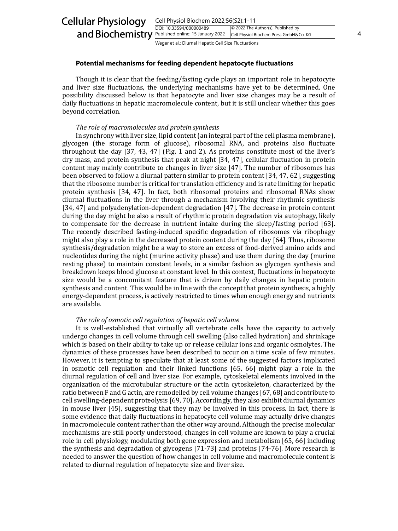| <b>Cellular Physiology</b>                         | Cell Physiol Biochem 2022;56(S2):1-11                |                                                                              |  |  |
|----------------------------------------------------|------------------------------------------------------|------------------------------------------------------------------------------|--|--|
| and Biochemistry Published online: 15 January 2022 | DOI: 10.33594/000000489                              | © 2022 The Author(s). Published by<br>Cell Physiol Biochem Press GmbH&Co. KG |  |  |
|                                                    | Weger et al.: Diurnal Hepatic Cell Size Fluctuations |                                                                              |  |  |

#### **Potential mechanisms for feeding dependent hepatocyte fluctuations**

Though it is clear that the feeding/fasting cycle plays an important role in hepatocyte and liver size fluctuations, the underlying mechanisms have yet to be determined. One possibility discussed below is that hepatocyte and liver size changes may be a result of daily fluctuations in hepatic macromolecule content, but it is still unclear whether this goes beyond correlation.

#### *The role of macromolecules and protein synthesis*

In synchrony with liver size, lipid content (an integral part of the cell plasma membrane), glycogen (the storage form of glucose), ribosomal RNA, and proteins also fluctuate throughout the day [37, 43, 47] (Fig. 1 and 2). As proteins constitute most of the liver's dry mass, and protein synthesis that peak at night [34, 47], cellular fluctuation in protein content may mainly contribute to changes in liver size [47]. The number of ribosomes has been observed to follow a diurnal pattern similar to protein content [34, 47, 62], suggesting that the ribosome number is critical for translation efficiency and is rate limiting for hepatic protein synthesis [34, 47]. In fact, both ribosomal proteins and ribosomal RNAs show diurnal fluctuations in the liver through a mechanism involving their rhythmic synthesis [34, 47] and polyadenylation-dependent degradation [47]. The decrease in protein content during the day might be also a result of rhythmic protein degradation via autophagy, likely to compensate for the decrease in nutrient intake during the sleep/fasting period [63]. The recently described fasting-induced specific degradation of ribosomes via ribophagy might also play a role in the decreased protein content during the day [64]. Thus, ribosome synthesis/degradation might be a way to store an excess of food-derived amino acids and nucleotides during the night (murine activity phase) and use them during the day (murine resting phase) to maintain constant levels, in a similar fashion as glycogen synthesis and breakdown keeps blood glucose at constant level. In this context, fluctuations in hepatocyte size would be a concomitant feature that is driven by daily changes in hepatic protein synthesis and content. This would be in line with the concept that protein synthesis, a highly energy-dependent process, is actively restricted to times when enough energy and nutrients are available.

#### *The role of osmotic cell regulation of hepatic cell volume*

It is well-established that virtually all vertebrate cells have the capacity to actively undergo changes in cell volume through cell swelling (also called hydration) and shrinkage which is based on their ability to take up or release cellular ions and organic osmolytes. The dynamics of these processes have been described to occur on a time scale of few minutes. However, it is tempting to speculate that at least some of the suggested factors implicated in osmotic cell regulation and their linked functions [65, 66] might play a role in the diurnal regulation of cell and liver size. For example, cytoskeletal elements involved in the organization of the microtubular structure or the actin cytoskeleton, characterized by the ratio between F and G actin, are remodelled by cell volume changes [67, 68] and contribute to cell swelling-dependent proteolysis [69, 70]. Accordingly, they also exhibit diurnal dynamics in mouse liver [45], suggesting that they may be involved in this process. In fact, there is some evidence that daily fluctuations in hepatocyte cell volume may actually drive changes in macromolecule content rather than the other way around. Although the precise molecular mechanisms are still poorly understood, changes in cell volume are known to play a crucial role in cell physiology, modulating both gene expression and metabolism [65, 66] including the synthesis and degradation of glycogens [71-73] and proteins [74-76]. More research is needed to answer the question of how changes in cell volume and macromolecule content is related to diurnal regulation of hepatocyte size and liver size.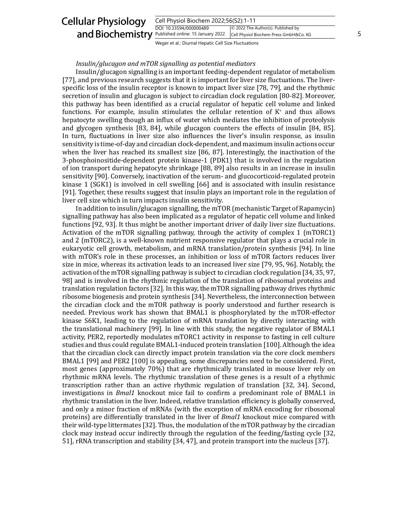#### Cell Physiol Biochem 2022;56(S2):1-11 DOI: 10.33594/000000489 and Biochemistry **Published online: 15 January 2022** Cell Physiol Biochem Press GmbH&Co. KG 5 Cellular Physiology © 2022 The Author(s). Published by Cell Physiol Biochem Press GmbH&Co. KG

Weger et al.: Diurnal Hepatic Cell Size Fluctuations

## *Insulin/glucagon and mTOR signalling as potential mediators*

Insulin/glucagon signalling is an important feeding-dependent regulator of metabolism [77], and previous research suggests that it is important for liver size fluctuations. The liverspecific loss of the insulin receptor is known to impact liver size [78, 79], and the rhythmic secretion of insulin and glucagon is subject to circadian clock regulation [80-82]. Moreover, this pathway has been identified as a crucial regulator of hepatic cell volume and linked functions. For example, insulin stimulates the cellular retention of K+ and thus allows hepatocyte swelling though an influx of water which mediates the inhibition of proteolysis and glycogen synthesis [83, 84], while glucagon counters the effects of insulin [84, 85]. In turn, fluctuations in liver size also influences the liver's insulin response, as insulin sensitivity is time-of-day and circadian clock-dependent, and maximum insulin actions occur when the liver has reached its smallest size [86, 87]. Interestingly, the inactivation of the 3-phosphoinositide-dependent protein kinase-1 (PDK1) that is involved in the regulation of ion transport during hepatocyte shrinkage [88, 89] also results in an increase in insulin sensitivity [90]. Conversely, inactivation of the serum- and glucocorticoid-regulated protein kinase 1 (SGK1) is involved in cell swelling [66] and is associated with insulin resistance [91]. Together, these results suggest that insulin plays an important role in the regulation of liver cell size which in turn impacts insulin sensitivity.

In addition to insulin/glucagon signalling, the mTOR (mechanistic Target of Rapamycin) signalling pathway has also been implicated as a regulator of hepatic cell volume and linked functions [92, 93]. It thus might be another important driver of daily liver size fluctuations. Activation of the mTOR signalling pathway, through the activity of complex 1 (mTORC1) and 2 (mTORC2), is a well-known nutrient responsive regulator that plays a crucial role in eukaryotic cell growth, metabolism, and mRNA translation/protein synthesis [94]. In line with mTOR's role in these processes, an inhibition or loss of mTOR factors reduces liver size in mice, whereas its activation leads to an increased liver size [79, 95, 96]. Notably, the activation of the mTOR signalling pathway is subject to circadian clock regulation [34, 35, 97, 98] and is involved in the rhythmic regulation of the translation of ribosomal proteins and translation regulation factors [32]. In this way, the mTOR signalling pathway drives rhythmic ribosome biogenesis and protein synthesis [34]. Nevertheless, the interconnection between the circadian clock and the mTOR pathway is poorly understood and further research is needed. Previous work has shown that BMAL1 is phosphorylated by the mTOR-effector kinase S6K1, leading to the regulation of mRNA translation by directly interacting with the translational machinery [99]. In line with this study, the negative regulator of BMAL1 activity, PER2, reportedly modulates mTORC1 activity in response to fasting in cell culture studies and thus could regulate BMAL1-induced protein translation [100]. Although the idea that the circadian clock can directly impact protein translation via the core clock members BMAL1 [99] and PER2 [100] is appealing, some discrepancies need to be considered. First, most genes (approximately 70%) that are rhythmically translated in mouse liver rely on rhythmic mRNA levels. The rhythmic translation of these genes is a result of a rhythmic transcription rather than an active rhythmic regulation of translation [32, 34]. Second, investigations in *Bmal1* knockout mice fail to confirm a predominant role of BMAL1 in rhythmic translation in the liver. Indeed, relative translation efficiency is globally conserved, and only a minor fraction of mRNAs (with the exception of mRNA encoding for ribosomal proteins) are differentially translated in the liver of *Bmal1* knockout mice compared with their wild-type littermates [32]. Thus, the modulation of the mTOR pathway by the circadian clock may instead occur indirectly through the regulation of the feeding/fasting cycle [32, 51], rRNA transcription and stability [34, 47], and protein transport into the nucleus [37].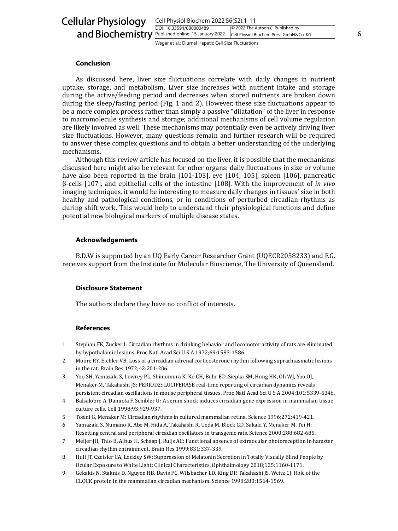| <b>Cellular Physiology</b>                         | Cell Physiol Biochem 2022;56(S2):1-11                |                                                                              |  |
|----------------------------------------------------|------------------------------------------------------|------------------------------------------------------------------------------|--|
| and Biochemistry Published online: 15 January 2022 | DOI: 10.33594/000000489                              | © 2022 The Author(s). Published by<br>Cell Physiol Biochem Press GmbH&Co. KG |  |
|                                                    | Weger et al.: Diurnal Hepatic Cell Size Fluctuations |                                                                              |  |

## **Conclusion**

As discussed here, liver size fluctuations correlate with daily changes in nutrient uptake, storage, and metabolism. Liver size increases with nutrient intake and storage during the active/feeding period and decreases when stored nutrients are broken down during the sleep/fasting period (Fig. 1 and 2). However, these size fluctuations appear to be a more complex process rather than simply a passive "dilatation" of the liver in response to macromolecule synthesis and storage; additional mechanisms of cell volume regulation are likely involved as well. These mechanisms may potentially even be actively driving liver size fluctuations. However, many questions remain and further research will be required to answer these complex questions and to obtain a better understanding of the underlying mechanisms.

Although this review article has focused on the liver, it is possible that the mechanisms discussed here might also be relevant for other organs: daily fluctuations in size or volume have also been reported in the brain [101-103], eye [104, 105], spleen [106], pancreatic β-cells [107], and epithelial cells of the intestine [108]. With the improvement of *in vivo* imaging techniques, it would be interesting to measure daily changes in tissues' size in both healthy and pathological conditions, or in conditions of perturbed circadian rhythms as during shift work. This would help to understand their physiological functions and define potential new biological markers of multiple disease states.

## **Acknowledgements**

B.D.W is supported by an UQ Early Career Researcher Grant (UQECR2058233) and F.G. receives support from the Institute for Molecular Bioscience, The University of Queensland.

## **Disclosure Statement**

The authors declare they have no conflict of interests.

### **References**

- 1 Stephan FK, Zucker I: Circadian rhythms in drinking behavior and locomotor activity of rats are eliminated by hypothalamic lesions. Proc Natl Acad Sci U S A 1972;69:1583-1586.
- 2 Moore RY, Eichler VB: Loss of a circadian adrenal corticosterone rhythm following suprachiasmatic lesions in the rat. Brain Res 1972;42:201-206.
- 3 Yoo SH, Yamazaki S, Lowrey PL, Shimomura K, Ko CH, Buhr ED, Siepka SM, Hong HK, Oh WJ, Yoo OJ, Menaker M, Takahashi JS: PERIOD2::LUCIFERASE real-time reporting of circadian dynamics reveals persistent circadian oscillations in mouse peripheral tissues. Proc Natl Acad Sci U S A 2004;101:5339-5346.
- 4 Balsalobre A, Damiola F, Schibler U: A serum shock induces circadian gene expression in mammalian tissue culture cells. Cell 1998;93:929-937.
- 5 Tosini G, Menaker M: Circadian rhythms in cultured mammalian retina. Science 1996;272:419-421.
- 6 Yamazaki S, Numano R, Abe M, Hida A, Takahashi R, Ueda M, Block GD, Sakaki Y, Menaker M, Tei H: Resetting central and peripheral circadian oscillators in transgenic rats. Science 2000;288:682-685.
- 7 Meijer JH, Thio B, Albus H, Schaap J, Ruijs AC: Functional absence of extraocular photoreception in hamster circadian rhythm entrainment. Brain Res 1999;831:337-339.
- 8 Hull JT, Czeisler CA, Lockley SW: Suppression of Melatonin Secretion in Totally Visually Blind People by Ocular Exposure to White Light: Clinical Characteristics. Ophthalmology 2018;125:1160-1171.
- 9 Gekakis N, Staknis D, Nguyen HB, Davis FC, Wilsbacher LD, King DP, Takahashi JS, Weitz CJ: Role of the CLOCK protein in the mammalian circadian mechanism. Science 1998;280:1564-1569.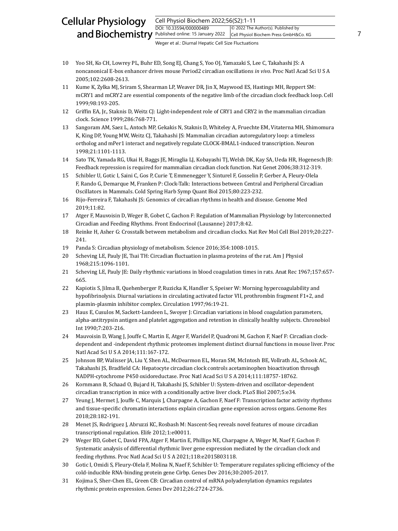#### Cell Physiol Biochem 2022;56(S2):1-11 DOI: 10.33594/000000489 and Biochemistry **Published online: 15 January 2022** Cell Physiol Biochem Press GmbH&Co. KG 7 Cellular Physiology © 2022 The Author(s). Published by Cell Physiol Biochem Press GmbH&Co. KG

- 10 Yoo SH, Ko CH, Lowrey PL, Buhr ED, Song EJ, Chang S, Yoo OJ, Yamazaki S, Lee C, Takahashi JS: A noncanonical E-box enhancer drives mouse Period2 circadian oscillations *in vivo*. Proc Natl Acad Sci U S A 2005;102:2608-2613.
- 11 Kume K, Zylka MJ, Sriram S, Shearman LP, Weaver DR, Jin X, Maywood ES, Hastings MH, Reppert SM: mCRY1 and mCRY2 are essential components of the negative limb of the circadian clock feedback loop. Cell 1999;98:193-205.
- 12 Griffin EA, Jr., Staknis D, Weitz CJ: Light-independent role of CRY1 and CRY2 in the mammalian circadian clock. Science 1999;286:768-771.
- 13 Sangoram AM, Saez L, Antoch MP, Gekakis N, Staknis D, Whiteley A, Fruechte EM, Vitaterna MH, Shimomura K, King DP, Young MW, Weitz CJ, Takahashi JS: Mammalian circadian autoregulatory loop: a timeless ortholog and mPer1 interact and negatively regulate CLOCK-BMAL1-induced transcription. Neuron 1998;21:1101-1113.
- 14 Sato TK, Yamada RG, Ukai H, Baggs JE, Miraglia LJ, Kobayashi TJ, Welsh DK, Kay SA, Ueda HR, Hogenesch JB: Feedback repression is required for mammalian circadian clock function. Nat Genet 2006;38:312-319.
- 15 Schibler U, Gotic I, Saini C, Gos P, Curie T, Emmenegger Y, Sinturel F, Gosselin P, Gerber A, Fleury-Olela F, Rando G, Demarque M, Franken P: Clock-Talk: Interactions between Central and Peripheral Circadian Oscillators in Mammals. Cold Spring Harb Symp Quant Biol 2015;80:223-232.
- 16 Rijo-Ferreira F, Takahashi JS: Genomics of circadian rhythms in health and disease. Genome Med 2019;11:82.
- 17 Atger F, Mauvoisin D, Weger B, Gobet C, Gachon F: Regulation of Mammalian Physiology by Interconnected Circadian and Feeding Rhythms. Front Endocrinol (Lausanne) 2017;8:42.
- 18 Reinke H, Asher G: Crosstalk between metabolism and circadian clocks. Nat Rev Mol Cell Biol 2019;20:227- 241.
- 19 Panda S: Circadian physiology of metabolism. Science 2016;354:1008-1015.
- 20 Scheving LE, Pauly JE, Tsai TH: Circadian fluctuation in plasma proteins of the rat. Am J Physiol 1968;215:1096-1101.
- 21 Scheving LE, Pauly JE: Daily rhythmic variations in blood coagulation times in rats. Anat Rec 1967;157:657- 665.
- 22 Kapiotis S, Jilma B, Quehenberger P, Ruzicka K, Handler S, Speiser W: Morning hypercoagulability and hypofibrinolysis. Diurnal variations in circulating activated factor VII, prothrombin fragment F1+2, and plasmin-plasmin inhibitor complex. Circulation 1997;96:19-21.
- 23 Haus E, Cusulos M, Sackett-Lundeen L, Swoyer J: Circadian variations in blood coagulation parameters, alpha-antitrypsin antigen and platelet aggregation and retention in clinically healthy subjects. Chronobiol Int 1990;7:203-216.
- 24 Mauvoisin D, Wang J, Jouffe C, Martin E, Atger F, Waridel P, Quadroni M, Gachon F, Naef F: Circadian clockdependent and -independent rhythmic proteomes implement distinct diurnal functions in mouse liver. Proc Natl Acad Sci U S A 2014;111:167-172.
- 25 Johnson BP, Walisser JA, Liu Y, Shen AL, McDearmon EL, Moran SM, McIntosh BE, Vollrath AL, Schook AC, Takahashi JS, Bradfield CA: Hepatocyte circadian clock controls acetaminophen bioactivation through NADPH-cytochrome P450 oxidoreductase. Proc Natl Acad Sci U S A 2014;111:18757-18762.
- 26 Kornmann B, Schaad O, Bujard H, Takahashi JS, Schibler U: System-driven and oscillator-dependent circadian transcription in mice with a conditionally active liver clock. PLoS Biol 2007;5:e34.
- 27 Yeung J, Mermet J, Jouffe C, Marquis J, Charpagne A, Gachon F, Naef F: Transcription factor activity rhythms and tissue-specific chromatin interactions explain circadian gene expression across organs. Genome Res 2018;28:182-191.
- 28 Menet JS, Rodriguez J, Abruzzi KC, Rosbash M: Nascent-Seq reveals novel features of mouse circadian transcriptional regulation. Elife 2012;1:e00011.
- 29 Weger BD, Gobet C, David FPA, Atger F, Martin E, Phillips NE, Charpagne A, Weger M, Naef F, Gachon F: Systematic analysis of differential rhythmic liver gene expression mediated by the circadian clock and feeding rhythms. Proc Natl Acad Sci U S A 2021;118:e2015803118.
- 30 Gotic I, Omidi S, Fleury-Olela F, Molina N, Naef F, Schibler U: Temperature regulates splicing efficiency of the cold-inducible RNA-binding protein gene Cirbp. Genes Dev 2016;30:2005-2017.
- 31 Kojima S, Sher-Chen EL, Green CB: Circadian control of mRNA polyadenylation dynamics regulates rhythmic protein expression. Genes Dev 2012;26:2724-2736.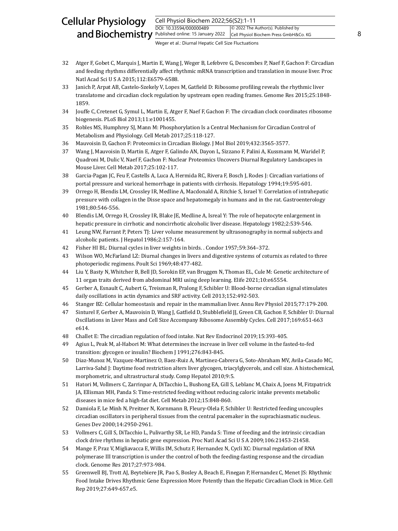#### Cell Physiol Biochem 2022;56(S2):1-11 DOI: 10.33594/000000489 and Biochemistry **Published online: 15 January 2022** Cell Physiol Biochem Press GmbH&Co. KG 8 Cellular Physiology © 2022 The Author(s). Published by Cell Physiol Biochem Press GmbH&Co. KG

- 32 Atger F, Gobet C, Marquis J, Martin E, Wang J, Weger B, Lefebvre G, Descombes P, Naef F, Gachon F: Circadian and feeding rhythms differentially affect rhythmic mRNA transcription and translation in mouse liver. Proc Natl Acad Sci U S A 2015;112:E6579-6588.
- 33 Janich P, Arpat AB, Castelo-Szekely V, Lopes M, Gatfield D: Ribosome profiling reveals the rhythmic liver translatome and circadian clock regulation by upstream open reading frames. Genome Res 2015;25:1848- 1859.
- 34 Jouffe C, Cretenet G, Symul L, Martin E, Atger F, Naef F, Gachon F: The circadian clock coordinates ribosome biogenesis. PLoS Biol 2013;11:e1001455.
- 35 Robles MS, Humphrey SJ, Mann M: Phosphorylation Is a Central Mechanism for Circadian Control of Metabolism and Physiology. Cell Metab 2017;25:118-127.
- 36 Mauvoisin D, Gachon F: Proteomics in Circadian Biology. J Mol Biol 2019;432:3565-3577.
- 37 Wang J, Mauvoisin D, Martin E, Atger F, Galindo AN, Dayon L, Sizzano F, Palini A, Kussmann M, Waridel P, Quadroni M, Dulic V, Naef F, Gachon F: Nuclear Proteomics Uncovers Diurnal Regulatory Landscapes in Mouse Liver. Cell Metab 2017;25:102-117.
- 38 Garcia-Pagan JC, Feu F, Castells A, Luca A, Hermida RC, Rivera F, Bosch J, Rodes J: Circadian variations of portal pressure and variceal hemorrhage in patients with cirrhosis. Hepatology 1994;19:595-601.
- 39 Orrego H, Blendis LM, Crossley IR, Medline A, Macdonald A, Ritchie S, Israel Y: Correlation of intrahepatic pressure with collagen in the Disse space and hepatomegaly in humans and in the rat. Gastroenterology 1981;80:546-556.
- 40 Blendis LM, Orrego H, Crossley IR, Blake JE, Medline A, Isreal Y: The role of hepatocyte enlargement in hepatic pressure in cirrhotic and noncirrhotic alcoholic liver disease. Hepatology 1982;2:539-546.
- 41 Leung NW, Farrant P, Peters TJ: Liver volume measurement by ultrasonography in normal subjects and alcoholic patients. J Hepatol 1986;2:157-164.
- 42 Fisher HI BL: Diurnal cycles in liver weights in birds. . Condor 1957;59:364–372.
- 43 Wilson WO, McFarland LZ: Diurnal changes in livers and digestive systems of coturnix as related to three photoperiodic regimens. Poult Sci 1969;48:477-482.
- 44 Liu Y, Basty N, Whitcher B, Bell JD, Sorokin EP, van Bruggen N, Thomas EL, Cule M: Genetic architecture of 11 organ traits derived from abdominal MRI using deep learning. Elife 2021;10:e65554.
- 45 Gerber A, Esnault C, Aubert G, Treisman R, Pralong F, Schibler U: Blood-borne circadian signal stimulates daily oscillations in actin dynamics and SRF activity. Cell 2013;152:492-503.
- 46 Stanger BZ: Cellular homeostasis and repair in the mammalian liver. Annu Rev Physiol 2015;77:179-200.
- 47 Sinturel F, Gerber A, Mauvoisin D, Wang J, Gatfield D, Stubblefield JJ, Green CB, Gachon F, Schibler U: Diurnal Oscillations in Liver Mass and Cell Size Accompany Ribosome Assembly Cycles. Cell 2017;169:651-663 e614.
- 48 Challet E: The circadian regulation of food intake. Nat Rev Endocrinol 2019;15:393-405.
- 49 Agius L, Peak M, al-Habori M: What determines the increase in liver cell volume in the fasted-to-fed transition: glycogen or insulin? Biochem J 1991;276:843-845.
- 50 Diaz-Munoz M, Vazquez-Martinez O, Baez-Ruiz A, Martinez-Cabrera G, Soto-Abraham MV, Avila-Casado MC, Larriva-Sahd J: Daytime food restriction alters liver glycogen, triacylglycerols, and cell size. A histochemical, morphometric, and ultrastructural study. Comp Hepatol 2010;9:5.
- 51 Hatori M, Vollmers C, Zarrinpar A, DiTacchio L, Bushong EA, Gill S, Leblanc M, Chaix A, Joens M, Fitzpatrick JA, Ellisman MH, Panda S: Time-restricted feeding without reducing caloric intake prevents metabolic diseases in mice fed a high-fat diet. Cell Metab 2012;15:848-860.
- 52 Damiola F, Le Minh N, Preitner N, Kornmann B, Fleury-Olela F, Schibler U: Restricted feeding uncouples circadian oscillators in peripheral tissues from the central pacemaker in the suprachiasmatic nucleus. Genes Dev 2000;14:2950-2961.
- 53 Vollmers C, Gill S, DiTacchio L, Pulivarthy SR, Le HD, Panda S: Time of feeding and the intrinsic circadian clock drive rhythms in hepatic gene expression. Proc Natl Acad Sci U S A 2009;106:21453-21458.
- 54 Mange F, Praz V, Migliavacca E, Willis IM, Schutz F, Hernandez N, Cycli XC: Diurnal regulation of RNA polymerase III transcription is under the control of both the feeding-fasting response and the circadian clock. Genome Res 2017;27:973-984.
- 55 Greenwell BJ, Trott AJ, Beytebiere JR, Pao S, Bosley A, Beach E, Finegan P, Hernandez C, Menet JS: Rhythmic Food Intake Drives Rhythmic Gene Expression More Potently than the Hepatic Circadian Clock in Mice. Cell Rep 2019;27:649-657.e5.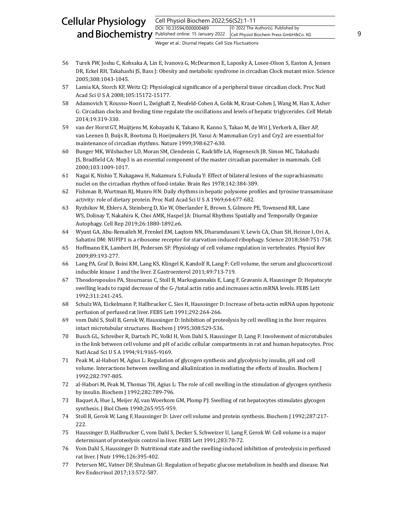#### Cell Physiol Biochem 2022;56(S2):1-11 DOI: 10.33594/000000489 and Biochemistry **Published online: 15 January 2022** Cell Physiol Biochem Press GmbH&Co. KG 9 Cellular Physiology © 2022 The Author(s). Published by Cell Physiol Biochem Press GmbH&Co. KG

- 56 Turek FW, Joshu C, Kohsaka A, Lin E, Ivanova G, McDearmon E, Laposky A, Losee-Olson S, Easton A, Jensen DR, Eckel RH, Takahashi JS, Bass J: Obesity and metabolic syndrome in circadian Clock mutant mice. Science 2005;308:1043-1045.
- 57 Lamia KA, Storch KF, Weitz CJ: Physiological significance of a peripheral tissue circadian clock. Proc Natl Acad Sci U S A 2008;105:15172-15177.
- 58 Adamovich Y, Rousso-Noori L, Zwighaft Z, Neufeld-Cohen A, Golik M, Kraut-Cohen J, Wang M, Han X, Asher G: Circadian clocks and feeding time regulate the oscillations and levels of hepatic triglycerides. Cell Metab 2014;19:319-330.
- 59 van der Horst GT, Muijtjens M, Kobayashi K, Takano R, Kanno S, Takao M, de Wit J, Verkerk A, Eker AP, van Leenen D, Buijs R, Bootsma D, Hoeijmakers JH, Yasui A: Mammalian Cry1 and Cry2 are essential for maintenance of circadian rhythms. Nature 1999;398:627-630.
- 60 Bunger MK, Wilsbacher LD, Moran SM, Clendenin C, Radcliffe LA, Hogenesch JB, Simon MC, Takahashi JS, Bradfield CA: Mop3 is an essential component of the master circadian pacemaker in mammals. Cell 2000;103:1009-1017.
- 61 Nagai K, Nishio T, Nakagawa H, Nakamura S, Fukuda Y: Effect of bilateral lesions of the suprachiasmatic nuclei on the circadian rhythm of food-intake. Brain Res 1978;142:384-389.
- 62 Fishman B, Wurtman RJ, Munro HN: Daily rhythms in hepatic polysome profiles and tyrosine transaminase activity: role of dietary protein. Proc Natl Acad Sci U S A 1969;64:677-682.
- 63 Ryzhikov M, Ehlers A, Steinberg D, Xie W, Oberlander E, Brown S, Gilmore PE, Townsend RR, Lane WS, Dolinay T, Nakahira K, Choi AMK, Haspel JA: Diurnal Rhythms Spatially and Temporally Organize Autophagy. Cell Rep 2019;26:1880-1892.e6.
- 64 Wyant GA, Abu-Remaileh M, Frenkel EM, Laqtom NN, Dharamdasani V, Lewis CA, Chan SH, Heinze I, Ori A, Sabatini DM: NUFIP1 is a ribosome receptor for starvation-induced ribophagy. Science 2018;360:751-758.
- 65 Hoffmann EK, Lambert IH, Pedersen SF: Physiology of cell volume regulation in vertebrates. Physiol Rev 2009;89:193-277.
- 66 Lang PA, Graf D, Boini KM, Lang KS, Klingel K, Kandolf R, Lang F: Cell volume, the serum and glucocorticoid inducible kinase 1 and the liver. Z Gastroenterol 2011;49:713-719.
- 67 Theodoropoulos PA, Stournaras C, Stoll B, Markogiannakis E, Lang F, Gravanis A, Haussinger D: Hepatocyte swelling leads to rapid decrease of the G-/total actin ratio and increases actin mRNA levels. FEBS Lett 1992;311:241-245.
- 68 Schulz WA, Eickelmann P, Hallbrucker C, Sies H, Haussinger D: Increase of beta-actin mRNA upon hypotonic perfusion of perfused rat liver. FEBS Lett 1991;292:264-266.
- 69 vom Dahl S, Stoll B, Gerok W, Haussinger D: Inhibition of proteolysis by cell swelling in the liver requires intact microtubular structures. Biochem J 1995;308:529-536.
- 70 Busch GL, Schreiber R, Dartsch PC, Volkl H, Vom Dahl S, Haussinger D, Lang F: Involvement of microtubules in the link between cell volume and pH of acidic cellular compartments in rat and human hepatocytes. Proc Natl Acad Sci U S A 1994;91:9165-9169.
- 71 Peak M, al-Habori M, Agius L: Regulation of glycogen synthesis and glycolysis by insulin, pH and cell volume. Interactions between swelling and alkalinization in mediating the effects of insulin. Biochem J 1992;282:797-805.
- 72 al-Habori M, Peak M, Thomas TH, Agius L: The role of cell swelling in the stimulation of glycogen synthesis by insulin. Biochem J 1992;282:789-796.
- 73 Baquet A, Hue L, Meijer AJ, van Woerkom GM, Plomp PJ: Swelling of rat hepatocytes stimulates glycogen synthesis. J Biol Chem 1990;265:955-959.
- 74 Stoll B, Gerok W, Lang F, Haussinger D: Liver cell volume and protein synthesis. Biochem J 1992;287:217- 222.
- 75 Haussinger D, Hallbrucker C, vom Dahl S, Decker S, Schweizer U, Lang F, Gerok W: Cell volume is a major determinant of proteolysis control in liver. FEBS Lett 1991;283:70-72.
- 76 Vom Dahl S, Haussinger D: Nutritional state and the swelling-induced inhibition of proteolysis in perfused rat liver. J Nutr 1996;126:395-402.
- 77 Petersen MC, Vatner DF, Shulman GI: Regulation of hepatic glucose metabolism in health and disease. Nat Rev Endocrinol 2017;13:572-587.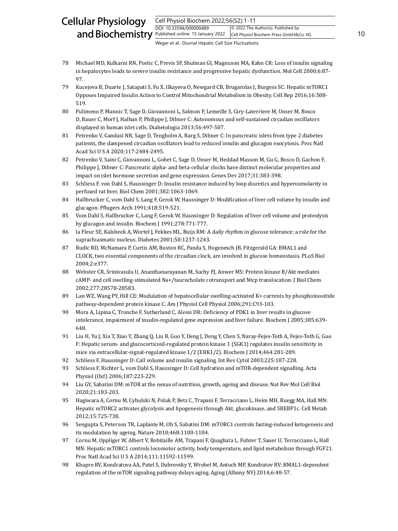#### Cell Physiol Biochem 2022;56(S2):1-11 DOI: 10.33594/000000489 and Biochemistry  $\frac{Published online: 15 January 2022}{Cell Physiol Biochem Press GmbH & Co. KG}$ 10 Cellular Physiology © 2022 The Author(s). Published by Cell Physiol Biochem Press GmbH&Co. KG

- 78 Michael MD, Kulkarni RN, Postic C, Previs SF, Shulman GI, Magnuson MA, Kahn CR: Loss of insulin signaling in hepatocytes leads to severe insulin resistance and progressive hepatic dysfunction. Mol Cell 2000;6:87- 97.
- 79 Kucejova B, Duarte J, Satapati S, Fu X, Ilkayeva O, Newgard CB, Brugarolas J, Burgess SC: Hepatic mTORC1 Opposes Impaired Insulin Action to Control Mitochondrial Metabolism in Obesity. Cell Rep 2016;16:508- 519.
- 80 Pulimeno P, Mannic T, Sage D, Giovannoni L, Salmon P, Lemeille S, Giry-Laterriere M, Unser M, Bosco D, Bauer C, Morf J, Halban P, Philippe J, Dibner C: Autonomous and self-sustained circadian oscillators displayed in human islet cells. Diabetologia 2013;56:497-507.
- 81 Petrenko V, Gandasi NR, Sage D, Tengholm A, Barg S, Dibner C: In pancreatic islets from type 2 diabetes patients, the dampened circadian oscillators lead to reduced insulin and glucagon exocytosis. Proc Natl Acad Sci U S A 2020;117:2484-2495.
- 82 Petrenko V, Saini C, Giovannoni L, Gobet C, Sage D, Unser M, Heddad Masson M, Gu G, Bosco D, Gachon F, Philippe J, Dibner C: Pancreatic alpha- and beta-cellular clocks have distinct molecular properties and impact on islet hormone secretion and gene expression. Genes Dev 2017;31:383-398.
- 83 Schliess F, von Dahl S, Haussinger D: Insulin resistance induced by loop diuretics and hyperosmolarity in perfused rat liver. Biol Chem 2001;382:1063-1069.
- 84 Hallbrucker C, vom Dahl S, Lang F, Gerok W, Haussinger D: Modification of liver cell volume by insulin and glucagon. Pflugers Arch 1991;418:519-521.
- 85 Vom Dahl S, Hallbrucker C, Lang F, Gerok W, Haussinger D: Regulation of liver cell volume and proteolysis by glucagon and insulin. Biochem J 1991;278:771-777.
- 86 la Fleur SE, Kalsbeek A, Wortel J, Fekkes ML, Buijs RM: A daily rhythm in glucose tolerance: a role for the suprachiasmatic nucleus. Diabetes 2001;50:1237-1243.
- 87 Rudic RD, McNamara P, Curtis AM, Boston RC, Panda S, Hogenesch JB, Fitzgerald GA: BMAL1 and CLOCK, two essential components of the circadian clock, are involved in glucose homeostasis. PLoS Biol 2004;2:e377.
- 88 Webster CR, Srinivasulu U, Ananthanarayanan M, Suchy FJ, Anwer MS: Protein kinase B/Akt mediates cAMP- and cell swelling-stimulated Na+/taurocholate cotransport and Ntcp translocation. J Biol Chem 2002;277:28578-28583.
- 89 Lan WZ, Wang PY, Hill CE: Modulation of hepatocellular swelling-activated K+ currents by phosphoinositide pathway-dependent protein kinase C. Am J Physiol Cell Physiol 2006;291:C93-103.
- 90 Mora A, Lipina C, Tronche F, Sutherland C, Alessi DR: Deficiency of PDK1 in liver results in glucose intolerance, impairment of insulin-regulated gene expression and liver failure. Biochem J 2005;385:639- 648.
- 91 Liu H, Yu J, Xia T, Xiao Y, Zhang Q, Liu B, Guo Y, Deng J, Deng Y, Chen S, Naray-Fejes-Toth A, Fejes-Toth G, Guo F: Hepatic serum- and glucocorticoid-regulated protein kinase 1 (SGK1) regulates insulin sensitivity in mice via extracellular-signal-regulated kinase 1/2 (ERK1/2). Biochem J 2014;464:281-289.
- 92 Schliess F, Haussinger D: Call volume and insulin signaling. Int Rev Cytol 2003;225:187-228.
- 93 Schliess F, Richter L, vom Dahl S, Haussinger D: Cell hydration and mTOR-dependent signalling. Acta Physiol (Oxf) 2006;187:223-229.
- 94 Liu GY, Sabatini DM: mTOR at the nexus of nutrition, growth, ageing and disease. Nat Rev Mol Cell Biol 2020;21:183-203.
- 95 Hagiwara A, Cornu M, Cybulski N, Polak P, Betz C, Trapani F, Terracciano L, Heim MH, Ruegg MA, Hall MN: Hepatic mTORC2 activates glycolysis and lipogenesis through Akt, glucokinase, and SREBP1c. Cell Metab 2012;15:725-738.
- 96 Sengupta S, Peterson TR, Laplante M, Oh S, Sabatini DM: mTORC1 controls fasting-induced ketogenesis and its modulation by ageing. Nature 2010;468:1100-1104.
- 97 Cornu M, Oppliger W, Albert V, Robitaille AM, Trapani F, Quagliata L, Fuhrer T, Sauer U, Terracciano L, Hall MN: Hepatic mTORC1 controls locomotor activity, body temperature, and lipid metabolism through FGF21. Proc Natl Acad Sci U S A 2014;111:11592-11599.
- 98 Khapre RV, Kondratova AA, Patel S, Dubrovsky Y, Wrobel M, Antoch MP, Kondratov RV: BMAL1-dependent regulation of the mTOR signaling pathway delays aging. Aging (Albany NY) 2014;6:48-57.